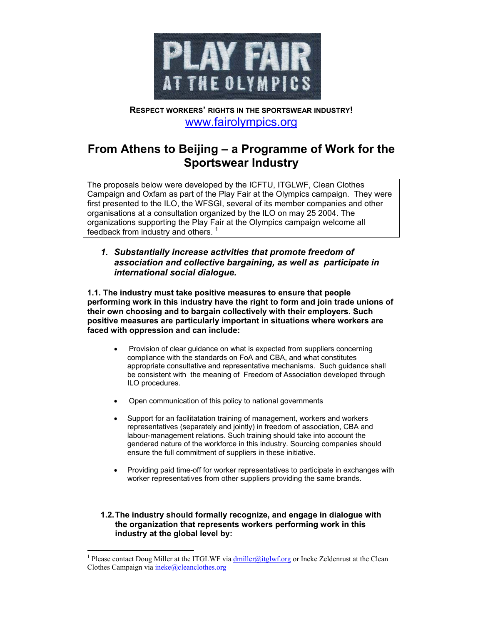

# **RESPECT WORKERS' RIGHTS IN THE SPORTSWEAR INDUSTRY!**  www.fairolympics.org

# **From Athens to Beijing – a Programme of Work for the Sportswear Industry**

The proposals below were developed by the ICFTU, ITGLWF, Clean Clothes Campaign and Oxfam as part of the Play Fair at the Olympics campaign. They were first presented to the ILO, the WFSGI, several of its member companies and other organisations at a consultation organized by the ILO on may 25 2004. The organizations supporting the Play Fair at the Olympics campaign welcome all feedback from industry and others.  $1$ 

## *1. Substantially increase activities that promote freedom of association and collective bargaining, as well as participate in international social dialogue.*

**1.1. The industry must take positive measures to ensure that people performing work in this industry have the right to form and join trade unions of their own choosing and to bargain collectively with their employers. Such positive measures are particularly important in situations where workers are faced with oppression and can include:** 

- Provision of clear guidance on what is expected from suppliers concerning compliance with the standards on FoA and CBA, and what constitutes appropriate consultative and representative mechanisms. Such guidance shall be consistent with the meaning of Freedom of Association developed through ILO procedures.
- Open communication of this policy to national governments
- Support for an facilitatation training of management, workers and workers representatives (separately and jointly) in freedom of association, CBA and labour-management relations. Such training should take into account the gendered nature of the workforce in this industry. Sourcing companies should ensure the full commitment of suppliers in these initiative.
- Providing paid time-off for worker representatives to participate in exchanges with worker representatives from other suppliers providing the same brands.

### **1.2. The industry should formally recognize, and engage in dialogue with the organization that represents workers performing work in this industry at the global level by:**

 $\overline{\phantom{a}}$ <sup>1</sup> Please contact Doug Miller at the ITGLWF via  $\frac{dmiller(\partial_{i}itglwf.org)}{dr}$  or Ineke Zeldenrust at the Clean Clothes Campaign via ineke@cleanclothes.org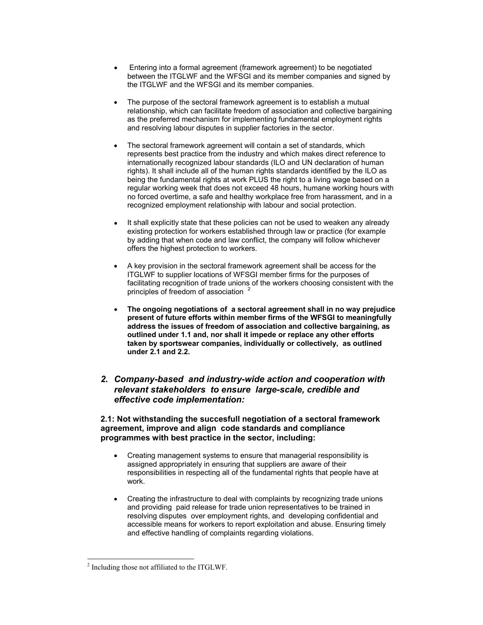- Entering into a formal agreement (framework agreement) to be negotiated between the ITGLWF and the WFSGI and its member companies and signed by the ITGLWF and the WFSGI and its member companies.
- The purpose of the sectoral framework agreement is to establish a mutual relationship, which can facilitate freedom of association and collective bargaining as the preferred mechanism for implementing fundamental employment rights and resolving labour disputes in supplier factories in the sector.
- The sectoral framework agreement will contain a set of standards, which represents best practice from the industry and which makes direct reference to internationally recognized labour standards (ILO and UN declaration of human rights). It shall include all of the human rights standards identified by the ILO as being the fundamental rights at work PLUS the right to a living wage based on a regular working week that does not exceed 48 hours, humane working hours with no forced overtime, a safe and healthy workplace free from harassment, and in a recognized employment relationship with labour and social protection.
- It shall explicitly state that these policies can not be used to weaken any already existing protection for workers established through law or practice (for example by adding that when code and law conflict, the company will follow whichever offers the highest protection to workers.
- A key provision in the sectoral framework agreement shall be access for the ITGLWF to supplier locations of WFSGI member firms for the purposes of facilitating recognition of trade unions of the workers choosing consistent with the principles of freedom of association <sup>2</sup>
- **The ongoing negotiations of a sectoral agreement shall in no way prejudice present of future efforts within member firms of the WFSGI to meaningfully address the issues of freedom of association and collective bargaining, as outlined under 1.1 and, nor shall it impede or replace any other efforts taken by sportswear companies, individually or collectively, as outlined under 2.1 and 2.2.**

## *2. Company-based and industry-wide action and cooperation with relevant stakeholders to ensure large-scale, credible and effective code implementation:*

#### **2.1: Not withstanding the succesfull negotiation of a sectoral framework agreement, improve and align code standards and compliance programmes with best practice in the sector, including:**

- Creating management systems to ensure that managerial responsibility is assigned appropriately in ensuring that suppliers are aware of their responsibilities in respecting all of the fundamental rights that people have at work.
- Creating the infrastructure to deal with complaints by recognizing trade unions and providing paid release for trade union representatives to be trained in resolving disputes over employment rights, and developing confidential and accessible means for workers to report exploitation and abuse. Ensuring timely and effective handling of complaints regarding violations.

 $\overline{\phantom{a}}$ 

<sup>&</sup>lt;sup>2</sup> Including those not affiliated to the ITGLWF.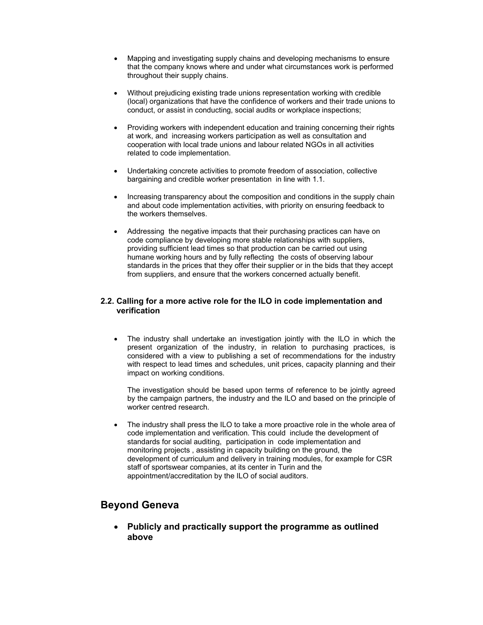- Mapping and investigating supply chains and developing mechanisms to ensure that the company knows where and under what circumstances work is performed throughout their supply chains.
- Without prejudicing existing trade unions representation working with credible (local) organizations that have the confidence of workers and their trade unions to conduct, or assist in conducting, social audits or workplace inspections;
- Providing workers with independent education and training concerning their rights at work, and increasing workers participation as well as consultation and cooperation with local trade unions and labour related NGOs in all activities related to code implementation.
- Undertaking concrete activities to promote freedom of association, collective bargaining and credible worker presentation in line with 1.1.
- Increasing transparency about the composition and conditions in the supply chain and about code implementation activities, with priority on ensuring feedback to the workers themselves.
- Addressing the negative impacts that their purchasing practices can have on code compliance by developing more stable relationships with suppliers, providing sufficient lead times so that production can be carried out using humane working hours and by fully reflecting the costs of observing labour standards in the prices that they offer their supplier or in the bids that they accept from suppliers, and ensure that the workers concerned actually benefit.

#### **2.2. Calling for a more active role for the ILO in code implementation and verification**

• The industry shall undertake an investigation jointly with the ILO in which the present organization of the industry, in relation to purchasing practices, is considered with a view to publishing a set of recommendations for the industry with respect to lead times and schedules, unit prices, capacity planning and their impact on working conditions.

The investigation should be based upon terms of reference to be jointly agreed by the campaign partners, the industry and the ILO and based on the principle of worker centred research.

The industry shall press the ILO to take a more proactive role in the whole area of code implementation and verification. This could include the development of standards for social auditing, participation in code implementation and monitoring projects , assisting in capacity building on the ground, the development of curriculum and delivery in training modules, for example for CSR staff of sportswear companies, at its center in Turin and the appointment/accreditation by the ILO of social auditors.

# **Beyond Geneva**

• **Publicly and practically support the programme as outlined above**